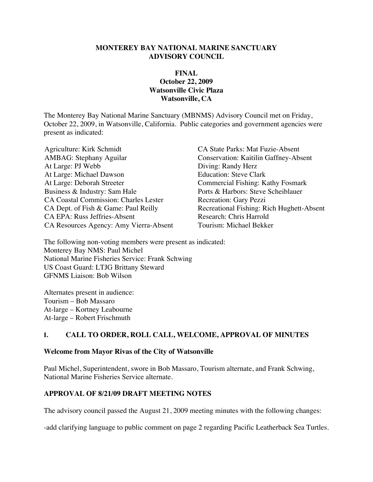#### **MONTEREY BAY NATIONAL MARINE SANCTUARY ADVISORY COUNCIL**

#### **FINAL October 22, 2009 Watsonville Civic Plaza Watsonville, CA**

The Monterey Bay National Marine Sanctuary (MBNMS) Advisory Council met on Friday, October 22, 2009, in Watsonville, California. Public categories and government agencies were present as indicated:

Agriculture: Kirk Schmidt CA State Parks: Mat Fuzie-Absent AMBAG: Stephany Aguilar Conservation: Kaitilin Gaffney-Absent At Large: PJ Webb Diving: Randy Herz At Large: Michael Dawson Education: Steve Clark At Large: Deborah Streeter Commercial Fishing: Kathy Fosmark Business & Industry: Sam Hale Ports & Harbors: Steve Scheiblauer CA Coastal Commission: Charles Lester Recreation: Gary Pezzi CA Dept. of Fish & Game: Paul Reilly Recreational Fishing: Rich Hughett-Absent CA EPA: Russ Jeffries-Absent Research: Chris Harrold<br>CA Resources Agency: Amy Vierra-Absent Tourism: Michael Bekker CA Resources Agency: Amy Vierra-Absent

The following non-voting members were present as indicated: Monterey Bay NMS: Paul Michel National Marine Fisheries Service: Frank Schwing US Coast Guard: LTJG Brittany Steward GFNMS Liaison: Bob Wilson

Alternates present in audience: Tourism – Bob Massaro At-large – Kortney Leabourne At-large – Robert Frischmuth

#### **I. CALL TO ORDER, ROLL CALL, WELCOME, APPROVAL OF MINUTES**

#### **Welcome from Mayor Rivas of the City of Watsonville**

Paul Michel, Superintendent, swore in Bob Massaro, Tourism alternate, and Frank Schwing, National Marine Fisheries Service alternate.

#### **APPROVAL OF 8/21/09 DRAFT MEETING NOTES**

The advisory council passed the August 21, 2009 meeting minutes with the following changes:

-add clarifying language to public comment on page 2 regarding Pacific Leatherback Sea Turtles.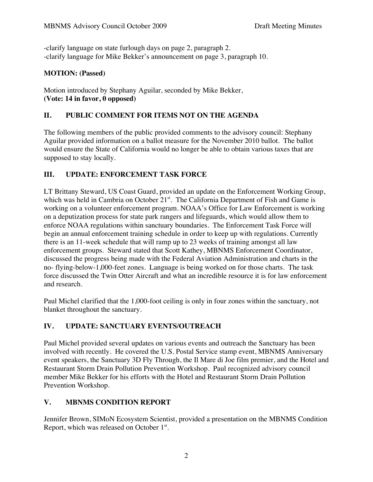-clarify language on state furlough days on page 2, paragraph 2. -clarify language for Mike Bekker's announcement on page 3, paragraph 10.

### **MOTION: (Passed)**

Motion introduced by Stephany Aguilar, seconded by Mike Bekker, **(Vote: 14 in favor, 0 opposed)**

## **II. PUBLIC COMMENT FOR ITEMS NOT ON THE AGENDA**

The following members of the public provided comments to the advisory council: Stephany Aguilar provided information on a ballot measure for the November 2010 ballot. The ballot would ensure the State of California would no longer be able to obtain various taxes that are supposed to stay locally.

## **III. UPDATE: ENFORCEMENT TASK FORCE**

LT Brittany Steward, US Coast Guard, provided an update on the Enforcement Working Group, which was held in Cambria on October  $21<sup>st</sup>$ . The California Department of Fish and Game is working on a volunteer enforcement program. NOAA's Office for Law Enforcement is working on a deputization process for state park rangers and lifeguards, which would allow them to enforce NOAA regulations within sanctuary boundaries. The Enforcement Task Force will begin an annual enforcement training schedule in order to keep up with regulations. Currently there is an 11-week schedule that will ramp up to 23 weeks of training amongst all law enforcement groups. Steward stated that Scott Kathey, MBNMS Enforcement Coordinator, discussed the progress being made with the Federal Aviation Administration and charts in the no- flying-below-1,000-feet zones. Language is being worked on for those charts. The task force discussed the Twin Otter Aircraft and what an incredible resource it is for law enforcement and research.

Paul Michel clarified that the 1,000-foot ceiling is only in four zones within the sanctuary, not blanket throughout the sanctuary.

## **IV. UPDATE: SANCTUARY EVENTS/OUTREACH**

Paul Michel provided several updates on various events and outreach the Sanctuary has been involved with recently. He covered the U.S. Postal Service stamp event, MBNMS Anniversary event speakers, the Sanctuary 3D Fly Through, the Il Mare di Joe film premier, and the Hotel and Restaurant Storm Drain Pollution Prevention Workshop. Paul recognized advisory council member Mike Bekker for his efforts with the Hotel and Restaurant Storm Drain Pollution Prevention Workshop.

## **V. MBNMS CONDITION REPORT**

Jennifer Brown, SIMoN Ecosystem Scientist, provided a presentation on the MBNMS Condition Report, which was released on October  $1<sup>st</sup>$ .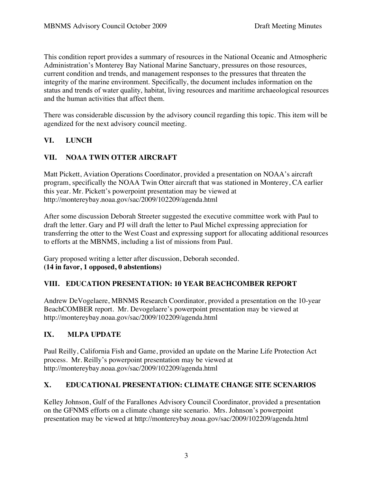This condition report provides a summary of resources in the National Oceanic and Atmospheric Administration's Monterey Bay National Marine Sanctuary, pressures on those resources, current condition and trends, and management responses to the pressures that threaten the integrity of the marine environment. Specifically, the document includes information on the status and trends of water quality, habitat, living resources and maritime archaeological resources and the human activities that affect them.

There was considerable discussion by the advisory council regarding this topic. This item will be agendized for the next advisory council meeting.

# **VI. LUNCH**

## **VII. NOAA TWIN OTTER AIRCRAFT**

Matt Pickett, Aviation Operations Coordinator, provided a presentation on NOAA's aircraft program, specifically the NOAA Twin Otter aircraft that was stationed in Monterey, CA earlier this year. Mr. Pickett's powerpoint presentation may be viewed at http://montereybay.noaa.gov/sac/2009/102209/agenda.html

After some discussion Deborah Streeter suggested the executive committee work with Paul to draft the letter. Gary and PJ will draft the letter to Paul Michel expressing appreciation for transferring the otter to the West Coast and expressing support for allocating additional resources to efforts at the MBNMS, including a list of missions from Paul.

Gary proposed writing a letter after discussion, Deborah seconded. **(14 in favor, 1 opposed, 0 abstentions)**

## **VIII. EDUCATION PRESENTATION: 10 YEAR BEACHCOMBER REPORT**

Andrew DeVogelaere, MBNMS Research Coordinator, provided a presentation on the 10-year BeachCOMBER report. Mr. Devogelaere's powerpoint presentation may be viewed at http://montereybay.noaa.gov/sac/2009/102209/agenda.html

## **IX. MLPA UPDATE**

Paul Reilly, California Fish and Game, provided an update on the Marine Life Protection Act process. Mr. Reilly's powerpoint presentation may be viewed at http://montereybay.noaa.gov/sac/2009/102209/agenda.html

## **X. EDUCATIONAL PRESENTATION: CLIMATE CHANGE SITE SCENARIOS**

Kelley Johnson, Gulf of the Farallones Advisory Council Coordinator, provided a presentation on the GFNMS efforts on a climate change site scenario. Mrs. Johnson's powerpoint presentation may be viewed at http://montereybay.noaa.gov/sac/2009/102209/agenda.html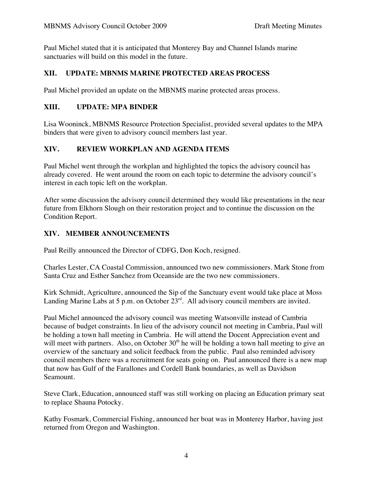Paul Michel stated that it is anticipated that Monterey Bay and Channel Islands marine sanctuaries will build on this model in the future.

#### **XII. UPDATE: MBNMS MARINE PROTECTED AREAS PROCESS**

Paul Michel provided an update on the MBNMS marine protected areas process.

#### **XIII. UPDATE: MPA BINDER**

Lisa Wooninck, MBNMS Resource Protection Specialist, provided several updates to the MPA binders that were given to advisory council members last year.

### **XIV. REVIEW WORKPLAN AND AGENDA ITEMS**

Paul Michel went through the workplan and highlighted the topics the advisory council has already covered. He went around the room on each topic to determine the advisory council's interest in each topic left on the workplan.

After some discussion the advisory council determined they would like presentations in the near future from Elkhorn Slough on their restoration project and to continue the discussion on the Condition Report.

### **XIV. MEMBER ANNOUNCEMENTS**

Paul Reilly announced the Director of CDFG, Don Koch, resigned.

Charles Lester, CA Coastal Commission, announced two new commissioners. Mark Stone from Santa Cruz and Esther Sanchez from Oceanside are the two new commissioners.

Kirk Schmidt, Agriculture, announced the Sip of the Sanctuary event would take place at Moss Landing Marine Labs at 5 p.m. on October 23<sup>rd</sup>. All advisory council members are invited.

Paul Michel announced the advisory council was meeting Watsonville instead of Cambria because of budget constraints. In lieu of the advisory council not meeting in Cambria, Paul will be holding a town hall meeting in Cambria. He will attend the Docent Appreciation event and will meet with partners. Also, on October  $30<sup>th</sup>$  he will be holding a town hall meeting to give an overview of the sanctuary and solicit feedback from the public. Paul also reminded advisory council members there was a recruitment for seats going on. Paul announced there is a new map that now has Gulf of the Farallones and Cordell Bank boundaries, as well as Davidson Seamount.

Steve Clark, Education, announced staff was still working on placing an Education primary seat to replace Shauna Potocky.

Kathy Fosmark, Commercial Fishing, announced her boat was in Monterey Harbor, having just returned from Oregon and Washington.